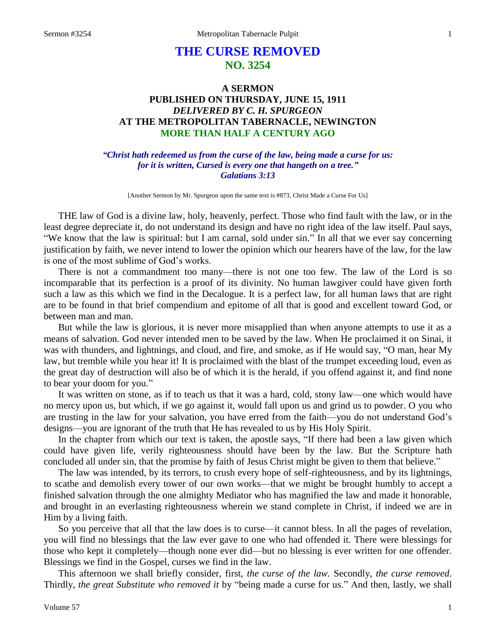# **THE CURSE REMOVED NO. 3254**

## **A SERMON PUBLISHED ON THURSDAY, JUNE 15, 1911** *DELIVERED BY C. H. SPURGEON* **AT THE METROPOLITAN TABERNACLE, NEWINGTON MORE THAN HALF A CENTURY AGO**

*"Christ hath redeemed us from the curse of the law, being made a curse for us: for it is written, Cursed is every one that hangeth on a tree." Galatians 3:13*

[Another Sermon by Mr. Spurgeon upon the same text is #873, Christ Made a Curse For Us]

THE law of God is a divine law, holy, heavenly, perfect. Those who find fault with the law, or in the least degree depreciate it, do not understand its design and have no right idea of the law itself. Paul says, "We know that the law is spiritual: but I am carnal, sold under sin." In all that we ever say concerning justification by faith, we never intend to lower the opinion which our hearers have of the law, for the law is one of the most sublime of God's works.

There is not a commandment too many—there is not one too few. The law of the Lord is so incomparable that its perfection is a proof of its divinity. No human lawgiver could have given forth such a law as this which we find in the Decalogue. It is a perfect law, for all human laws that are right are to be found in that brief compendium and epitome of all that is good and excellent toward God, or between man and man.

But while the law is glorious, it is never more misapplied than when anyone attempts to use it as a means of salvation. God never intended men to be saved by the law. When He proclaimed it on Sinai, it was with thunders, and lightnings, and cloud, and fire, and smoke, as if He would say, "O man, hear My law, but tremble while you hear it! It is proclaimed with the blast of the trumpet exceeding loud, even as the great day of destruction will also be of which it is the herald, if you offend against it, and find none to bear your doom for you."

It was written on stone, as if to teach us that it was a hard, cold, stony law—one which would have no mercy upon us, but which, if we go against it, would fall upon us and grind us to powder. O you who are trusting in the law for your salvation, you have erred from the faith—you do not understand God's designs—you are ignorant of the truth that He has revealed to us by His Holy Spirit.

In the chapter from which our text is taken, the apostle says, "If there had been a law given which could have given life, verily righteousness should have been by the law. But the Scripture hath concluded all under sin, that the promise by faith of Jesus Christ might be given to them that believe."

The law was intended, by its terrors, to crush every hope of self-righteousness, and by its lightnings, to scathe and demolish every tower of our own works—that we might be brought humbly to accept a finished salvation through the one almighty Mediator who has magnified the law and made it honorable, and brought in an everlasting righteousness wherein we stand complete in Christ, if indeed we are in Him by a living faith.

So you perceive that all that the law does is to curse—it cannot bless. In all the pages of revelation, you will find no blessings that the law ever gave to one who had offended it. There were blessings for those who kept it completely—though none ever did—but no blessing is ever written for one offender. Blessings we find in the Gospel, curses we find in the law.

This afternoon we shall briefly consider, first, *the curse of the law.* Secondly, *the curse removed.* Thirdly, *the great Substitute who removed it* by "being made a curse for us." And then, lastly, we shall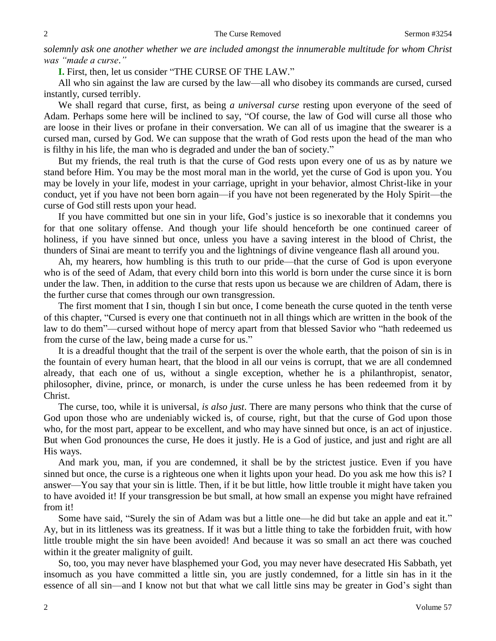*solemnly ask one another whether we are included amongst the innumerable multitude for whom Christ was "made a curse*.*"*

**I.** First, then, let us consider "THE CURSE OF THE LAW."

All who sin against the law are cursed by the law—all who disobey its commands are cursed, cursed instantly, cursed terribly.

We shall regard that curse, first, as being *a universal curse* resting upon everyone of the seed of Adam. Perhaps some here will be inclined to say, "Of course, the law of God will curse all those who are loose in their lives or profane in their conversation. We can all of us imagine that the swearer is a cursed man, cursed by God. We can suppose that the wrath of God rests upon the head of the man who is filthy in his life, the man who is degraded and under the ban of society."

But my friends, the real truth is that the curse of God rests upon every one of us as by nature we stand before Him. You may be the most moral man in the world, yet the curse of God is upon you. You may be lovely in your life, modest in your carriage, upright in your behavior, almost Christ-like in your conduct, yet if you have not been born again—if you have not been regenerated by the Holy Spirit—the curse of God still rests upon your head.

If you have committed but one sin in your life, God's justice is so inexorable that it condemns you for that one solitary offense. And though your life should henceforth be one continued career of holiness, if you have sinned but once, unless you have a saving interest in the blood of Christ, the thunders of Sinai are meant to terrify you and the lightnings of divine vengeance flash all around you.

Ah, my hearers, how humbling is this truth to our pride—that the curse of God is upon everyone who is of the seed of Adam, that every child born into this world is born under the curse since it is born under the law. Then, in addition to the curse that rests upon us because we are children of Adam, there is the further curse that comes through our own transgression.

The first moment that I sin, though I sin but once, I come beneath the curse quoted in the tenth verse of this chapter, "Cursed is every one that continueth not in all things which are written in the book of the law to do them"—cursed without hope of mercy apart from that blessed Savior who "hath redeemed us from the curse of the law, being made a curse for us."

It is a dreadful thought that the trail of the serpent is over the whole earth, that the poison of sin is in the fountain of every human heart, that the blood in all our veins is corrupt, that we are all condemned already, that each one of us, without a single exception, whether he is a philanthropist, senator, philosopher, divine, prince, or monarch, is under the curse unless he has been redeemed from it by Christ.

The curse, too, while it is universal, *is also just*. There are many persons who think that the curse of God upon those who are undeniably wicked is, of course, right, but that the curse of God upon those who, for the most part, appear to be excellent, and who may have sinned but once, is an act of injustice. But when God pronounces the curse, He does it justly. He is a God of justice, and just and right are all His ways.

And mark you, man, if you are condemned, it shall be by the strictest justice. Even if you have sinned but once, the curse is a righteous one when it lights upon your head. Do you ask me how this is? I answer—You say that your sin is little. Then, if it be but little, how little trouble it might have taken you to have avoided it! If your transgression be but small, at how small an expense you might have refrained from it!

Some have said, "Surely the sin of Adam was but a little one—he did but take an apple and eat it." Ay, but in its littleness was its greatness. If it was but a little thing to take the forbidden fruit, with how little trouble might the sin have been avoided! And because it was so small an act there was couched within it the greater malignity of guilt.

So, too, you may never have blasphemed your God, you may never have desecrated His Sabbath, yet insomuch as you have committed a little sin, you are justly condemned, for a little sin has in it the essence of all sin—and I know not but that what we call little sins may be greater in God's sight than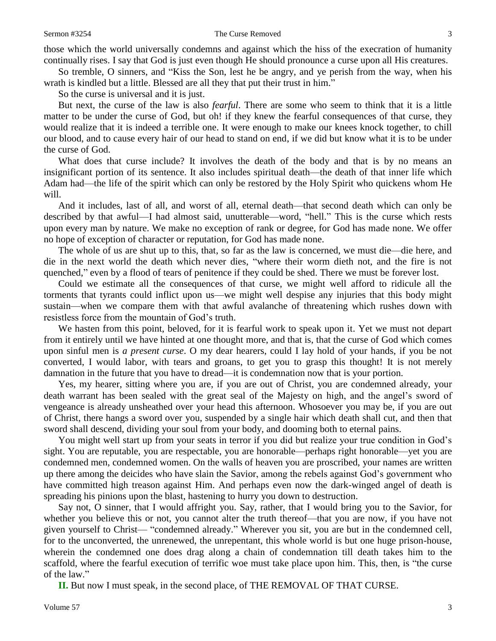#### Sermon #3254 **The Curse Removed** 3

those which the world universally condemns and against which the hiss of the execration of humanity continually rises. I say that God is just even though He should pronounce a curse upon all His creatures.

So tremble, O sinners, and "Kiss the Son, lest he be angry, and ye perish from the way, when his wrath is kindled but a little. Blessed are all they that put their trust in him."

So the curse is universal and it is just.

But next, the curse of the law is also *fearful*. There are some who seem to think that it is a little matter to be under the curse of God, but oh! if they knew the fearful consequences of that curse, they would realize that it is indeed a terrible one. It were enough to make our knees knock together, to chill our blood, and to cause every hair of our head to stand on end, if we did but know what it is to be under the curse of God.

What does that curse include? It involves the death of the body and that is by no means an insignificant portion of its sentence. It also includes spiritual death—the death of that inner life which Adam had—the life of the spirit which can only be restored by the Holy Spirit who quickens whom He will.

And it includes, last of all, and worst of all, eternal death—that second death which can only be described by that awful—I had almost said, unutterable—word, "hell." This is the curse which rests upon every man by nature. We make no exception of rank or degree, for God has made none. We offer no hope of exception of character or reputation, for God has made none.

The whole of us are shut up to this, that, so far as the law is concerned, we must die—die here, and die in the next world the death which never dies, "where their worm dieth not, and the fire is not quenched," even by a flood of tears of penitence if they could be shed. There we must be forever lost.

Could we estimate all the consequences of that curse, we might well afford to ridicule all the torments that tyrants could inflict upon us—we might well despise any injuries that this body might sustain—when we compare them with that awful avalanche of threatening which rushes down with resistless force from the mountain of God's truth.

We hasten from this point, beloved, for it is fearful work to speak upon it. Yet we must not depart from it entirely until we have hinted at one thought more, and that is, that the curse of God which comes upon sinful men is *a present curse*. O my dear hearers, could I lay hold of your hands, if you be not converted, I would labor, with tears and groans, to get you to grasp this thought! It is not merely damnation in the future that you have to dread—it is condemnation now that is your portion.

Yes, my hearer, sitting where you are, if you are out of Christ, you are condemned already, your death warrant has been sealed with the great seal of the Majesty on high, and the angel's sword of vengeance is already unsheathed over your head this afternoon. Whosoever you may be, if you are out of Christ, there hangs a sword over you, suspended by a single hair which death shall cut, and then that sword shall descend, dividing your soul from your body, and dooming both to eternal pains.

You might well start up from your seats in terror if you did but realize your true condition in God's sight. You are reputable, you are respectable, you are honorable—perhaps right honorable—yet you are condemned men, condemned women. On the walls of heaven you are proscribed, your names are written up there among the deicides who have slain the Savior, among the rebels against God's government who have committed high treason against Him. And perhaps even now the dark-winged angel of death is spreading his pinions upon the blast, hastening to hurry you down to destruction.

Say not, O sinner, that I would affright you. Say, rather, that I would bring you to the Savior, for whether you believe this or not, you cannot alter the truth thereof—that you are now, if you have not given yourself to Christ— "condemned already." Wherever you sit, you are but in the condemned cell, for to the unconverted, the unrenewed, the unrepentant, this whole world is but one huge prison-house, wherein the condemned one does drag along a chain of condemnation till death takes him to the scaffold, where the fearful execution of terrific woe must take place upon him. This, then, is "the curse of the law."

**II.** But now I must speak, in the second place, of THE REMOVAL OF THAT CURSE.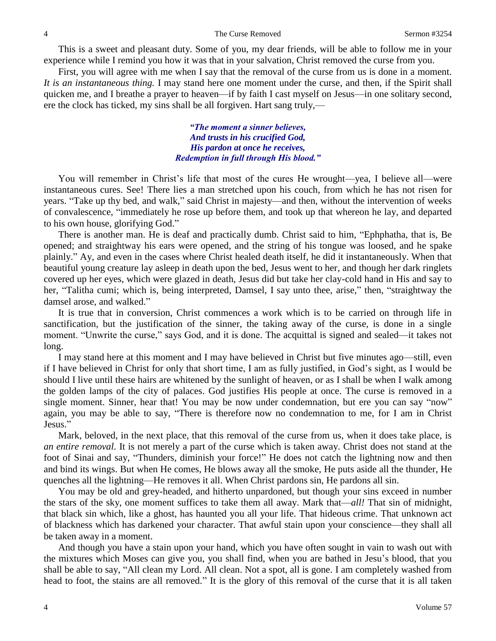This is a sweet and pleasant duty. Some of you, my dear friends, will be able to follow me in your experience while I remind you how it was that in your salvation, Christ removed the curse from you.

First, you will agree with me when I say that the removal of the curse from us is done in a moment. *It is an instantaneous thing.* I may stand here one moment under the curse, and then, if the Spirit shall quicken me, and I breathe a prayer to heaven—if by faith I cast myself on Jesus—in one solitary second, ere the clock has ticked, my sins shall be all forgiven. Hart sang truly,—

> *"The moment a sinner believes, And trusts in his crucified God, His pardon at once he receives, Redemption in full through His blood."*

You will remember in Christ's life that most of the cures He wrought—yea, I believe all—were instantaneous cures. See! There lies a man stretched upon his couch, from which he has not risen for years. "Take up thy bed, and walk," said Christ in majesty—and then, without the intervention of weeks of convalescence, "immediately he rose up before them, and took up that whereon he lay, and departed to his own house, glorifying God."

There is another man. He is deaf and practically dumb. Christ said to him, "Ephphatha, that is, Be opened; and straightway his ears were opened, and the string of his tongue was loosed, and he spake plainly." Ay, and even in the cases where Christ healed death itself, he did it instantaneously. When that beautiful young creature lay asleep in death upon the bed, Jesus went to her, and though her dark ringlets covered up her eyes, which were glazed in death, Jesus did but take her clay-cold hand in His and say to her, "Talitha cumi; which is, being interpreted, Damsel, I say unto thee, arise," then, "straightway the damsel arose, and walked."

It is true that in conversion, Christ commences a work which is to be carried on through life in sanctification, but the justification of the sinner, the taking away of the curse, is done in a single moment. "Unwrite the curse," says God, and it is done. The acquittal is signed and sealed—it takes not long.

I may stand here at this moment and I may have believed in Christ but five minutes ago—still, even if I have believed in Christ for only that short time, I am as fully justified, in God's sight, as I would be should I live until these hairs are whitened by the sunlight of heaven, or as I shall be when I walk among the golden lamps of the city of palaces. God justifies His people at once. The curse is removed in a single moment. Sinner, hear that! You may be now under condemnation, but ere you can say "now" again, you may be able to say, "There is therefore now no condemnation to me, for I am in Christ Jesus."

Mark, beloved, in the next place, that this removal of the curse from us, when it does take place, is *an entire removal*. It is not merely a part of the curse which is taken away. Christ does not stand at the foot of Sinai and say, "Thunders, diminish your force!" He does not catch the lightning now and then and bind its wings. But when He comes, He blows away all the smoke, He puts aside all the thunder, He quenches all the lightning—He removes it all. When Christ pardons sin, He pardons all sin.

You may be old and grey-headed, and hitherto unpardoned, but though your sins exceed in number the stars of the sky, one moment suffices to take them all away. Mark that—*all!* That sin of midnight, that black sin which, like a ghost, has haunted you all your life. That hideous crime. That unknown act of blackness which has darkened your character. That awful stain upon your conscience—they shall all be taken away in a moment.

And though you have a stain upon your hand, which you have often sought in vain to wash out with the mixtures which Moses can give you, you shall find, when you are bathed in Jesu's blood, that you shall be able to say, "All clean my Lord. All clean. Not a spot, all is gone. I am completely washed from head to foot, the stains are all removed." It is the glory of this removal of the curse that it is all taken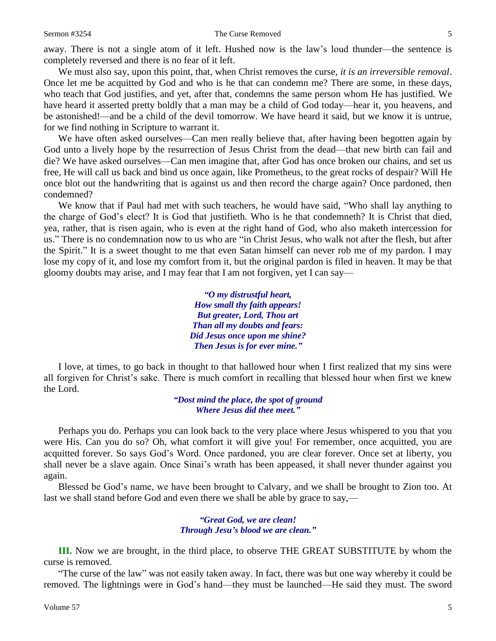away. There is not a single atom of it left. Hushed now is the law's loud thunder—the sentence is completely reversed and there is no fear of it left.

We must also say, upon this point, that, when Christ removes the curse, *it is an irreversible removal*. Once let me be acquitted by God and who is he that can condemn me? There are some, in these days, who teach that God justifies, and yet, after that, condemns the same person whom He has justified. We have heard it asserted pretty boldly that a man may be a child of God today—hear it, you heavens, and be astonished!—and be a child of the devil tomorrow. We have heard it said, but we know it is untrue, for we find nothing in Scripture to warrant it.

We have often asked ourselves—Can men really believe that, after having been begotten again by God unto a lively hope by the resurrection of Jesus Christ from the dead—that new birth can fail and die? We have asked ourselves—Can men imagine that, after God has once broken our chains, and set us free, He will call us back and bind us once again, like Prometheus, to the great rocks of despair? Will He once blot out the handwriting that is against us and then record the charge again? Once pardoned, then condemned?

We know that if Paul had met with such teachers, he would have said, "Who shall lay anything to the charge of God's elect? It is God that justifieth. Who is he that condemneth? It is Christ that died, yea, rather, that is risen again, who is even at the right hand of God, who also maketh intercession for us." There is no condemnation now to us who are "in Christ Jesus, who walk not after the flesh, but after the Spirit." It is a sweet thought to me that even Satan himself can never rob me of my pardon. I may lose my copy of it, and lose my comfort from it, but the original pardon is filed in heaven. It may be that gloomy doubts may arise, and I may fear that I am not forgiven, yet I can say—

> *"O my distrustful heart, How small thy faith appears! But greater, Lord, Thou art Than all my doubts and fears: Did Jesus once upon me shine? Then Jesus is for ever mine."*

I love, at times, to go back in thought to that hallowed hour when I first realized that my sins were all forgiven for Christ's sake. There is much comfort in recalling that blessed hour when first we knew the Lord.

> *"Dost mind the place, the spot of ground Where Jesus did thee meet."*

Perhaps you do. Perhaps you can look back to the very place where Jesus whispered to you that you were His. Can you do so? Oh, what comfort it will give you! For remember, once acquitted, you are acquitted forever. So says God's Word. Once pardoned, you are clear forever. Once set at liberty, you shall never be a slave again. Once Sinai's wrath has been appeased, it shall never thunder against you again.

Blessed be God's name, we have been brought to Calvary, and we shall be brought to Zion too. At last we shall stand before God and even there we shall be able by grace to say,—

#### *"Great God, we are clean! Through Jesu's blood we are clean."*

**III.** Now we are brought, in the third place, to observe THE GREAT SUBSTITUTE by whom the curse is removed.

"The curse of the law" was not easily taken away. In fact, there was but one way whereby it could be removed. The lightnings were in God's hand—they must be launched—He said they must. The sword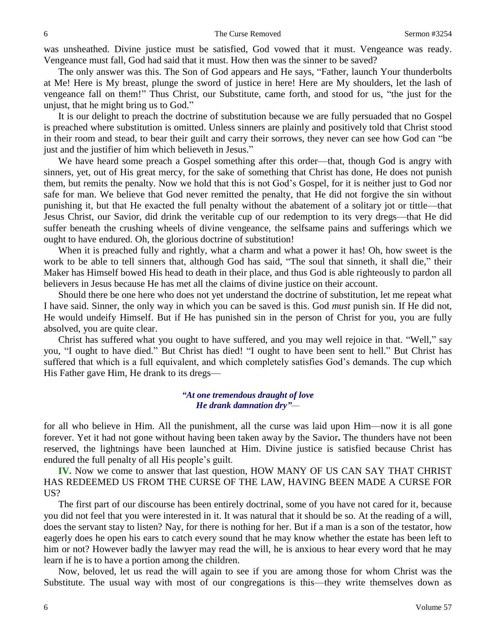was unsheathed. Divine justice must be satisfied, God vowed that it must. Vengeance was ready. Vengeance must fall, God had said that it must. How then was the sinner to be saved?

The only answer was this. The Son of God appears and He says, "Father, launch Your thunderbolts at Me! Here is My breast, plunge the sword of justice in here! Here are My shoulders, let the lash of vengeance fall on them!" Thus Christ, our Substitute, came forth, and stood for us, "the just for the unjust, that he might bring us to God."

It is our delight to preach the doctrine of substitution because we are fully persuaded that no Gospel is preached where substitution is omitted. Unless sinners are plainly and positively told that Christ stood in their room and stead, to bear their guilt and carry their sorrows, they never can see how God can "be just and the justifier of him which believeth in Jesus."

We have heard some preach a Gospel something after this order—that, though God is angry with sinners, yet, out of His great mercy, for the sake of something that Christ has done, He does not punish them, but remits the penalty. Now we hold that this is not God's Gospel, for it is neither just to God nor safe for man. We believe that God never remitted the penalty, that He did not forgive the sin without punishing it, but that He exacted the full penalty without the abatement of a solitary jot or tittle—that Jesus Christ, our Savior, did drink the veritable cup of our redemption to its very dregs—that He did suffer beneath the crushing wheels of divine vengeance, the selfsame pains and sufferings which we ought to have endured. Oh, the glorious doctrine of substitution!

When it is preached fully and rightly, what a charm and what a power it has! Oh, how sweet is the work to be able to tell sinners that, although God has said, "The soul that sinneth, it shall die," their Maker has Himself bowed His head to death in their place, and thus God is able righteously to pardon all believers in Jesus because He has met all the claims of divine justice on their account.

Should there be one here who does not yet understand the doctrine of substitution, let me repeat what I have said. Sinner, the only way in which you can be saved is this. God *must* punish sin. If He did not, He would undeify Himself. But if He has punished sin in the person of Christ for you, you are fully absolved, you are quite clear.

Christ has suffered what you ought to have suffered, and you may well rejoice in that. "Well," say you, "I ought to have died." But Christ has died! "I ought to have been sent to hell." But Christ has suffered that which is a full equivalent, and which completely satisfies God's demands. The cup which His Father gave Him, He drank to its dregs—

#### *"At one tremendous draught of love He drank damnation dry"—*

for all who believe in Him. All the punishment, all the curse was laid upon Him—now it is all gone forever. Yet it had not gone without having been taken away by the Savior**.** The thunders have not been reserved, the lightnings have been launched at Him. Divine justice is satisfied because Christ has endured the full penalty of all His people's guilt.

**IV.** Now we come to answer that last question, HOW MANY OF US CAN SAY THAT CHRIST HAS REDEEMED US FROM THE CURSE OF THE LAW, HAVING BEEN MADE A CURSE FOR US?

The first part of our discourse has been entirely doctrinal, some of you have not cared for it, because you did not feel that you were interested in it. It was natural that it should be so. At the reading of a will, does the servant stay to listen? Nay, for there is nothing for her. But if a man is a son of the testator, how eagerly does he open his ears to catch every sound that he may know whether the estate has been left to him or not? However badly the lawyer may read the will, he is anxious to hear every word that he may learn if he is to have a portion among the children.

Now, beloved, let us read the will again to see if you are among those for whom Christ was the Substitute. The usual way with most of our congregations is this—they write themselves down as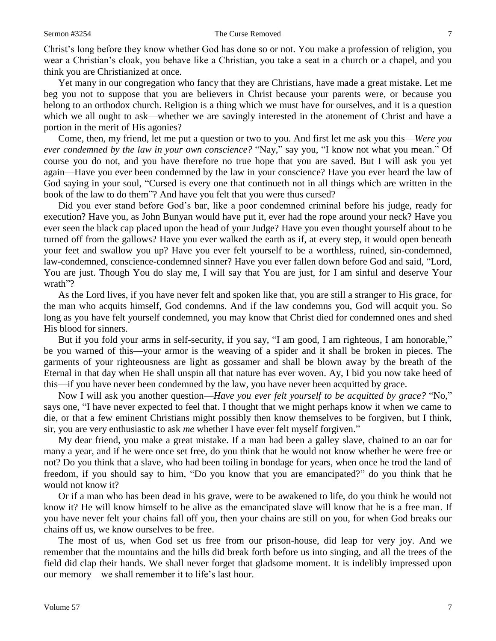Christ's long before they know whether God has done so or not. You make a profession of religion, you wear a Christian's cloak, you behave like a Christian, you take a seat in a church or a chapel, and you think you are Christianized at once.

Yet many in our congregation who fancy that they are Christians, have made a great mistake. Let me beg you not to suppose that you are believers in Christ because your parents were, or because you belong to an orthodox church. Religion is a thing which we must have for ourselves, and it is a question which we all ought to ask—whether we are savingly interested in the atonement of Christ and have a portion in the merit of His agonies?

Come, then, my friend, let me put a question or two to you. And first let me ask you this—*Were you ever condemned by the law in your own conscience?* "Nay," say you, "I know not what you mean." Of course you do not, and you have therefore no true hope that you are saved. But I will ask you yet again—Have you ever been condemned by the law in your conscience? Have you ever heard the law of God saying in your soul, "Cursed is every one that continueth not in all things which are written in the book of the law to do them"? And have you felt that you were thus cursed?

Did you ever stand before God's bar, like a poor condemned criminal before his judge, ready for execution? Have you, as John Bunyan would have put it, ever had the rope around your neck? Have you ever seen the black cap placed upon the head of your Judge? Have you even thought yourself about to be turned off from the gallows? Have you ever walked the earth as if, at every step, it would open beneath your feet and swallow you up? Have you ever felt yourself to be a worthless, ruined, sin-condemned, law-condemned, conscience-condemned sinner? Have you ever fallen down before God and said, "Lord, You are just. Though You do slay me, I will say that You are just, for I am sinful and deserve Your wrath"?

As the Lord lives, if you have never felt and spoken like that, you are still a stranger to His grace, for the man who acquits himself, God condemns. And if the law condemns you, God will acquit you. So long as you have felt yourself condemned, you may know that Christ died for condemned ones and shed His blood for sinners.

But if you fold your arms in self-security, if you say, "I am good, I am righteous, I am honorable," be you warned of this—your armor is the weaving of a spider and it shall be broken in pieces. The garments of your righteousness are light as gossamer and shall be blown away by the breath of the Eternal in that day when He shall unspin all that nature has ever woven. Ay, I bid you now take heed of this—if you have never been condemned by the law, you have never been acquitted by grace.

Now I will ask you another question—*Have you ever felt yourself to be acquitted by grace?* "No," says one, "I have never expected to feel that. I thought that we might perhaps know it when we came to die, or that a few eminent Christians might possibly then know themselves to be forgiven, but I think, sir, you are very enthusiastic to ask *me* whether I have ever felt myself forgiven."

My dear friend, you make a great mistake. If a man had been a galley slave, chained to an oar for many a year, and if he were once set free, do you think that he would not know whether he were free or not? Do you think that a slave, who had been toiling in bondage for years, when once he trod the land of freedom, if you should say to him, "Do you know that you are emancipated?" do you think that he would not know it?

Or if a man who has been dead in his grave, were to be awakened to life, do you think he would not know it? He will know himself to be alive as the emancipated slave will know that he is a free man. If you have never felt your chains fall off you, then your chains are still on you, for when God breaks our chains off us, we know ourselves to be free.

The most of us, when God set us free from our prison-house, did leap for very joy. And we remember that the mountains and the hills did break forth before us into singing, and all the trees of the field did clap their hands. We shall never forget that gladsome moment. It is indelibly impressed upon our memory—we shall remember it to life's last hour.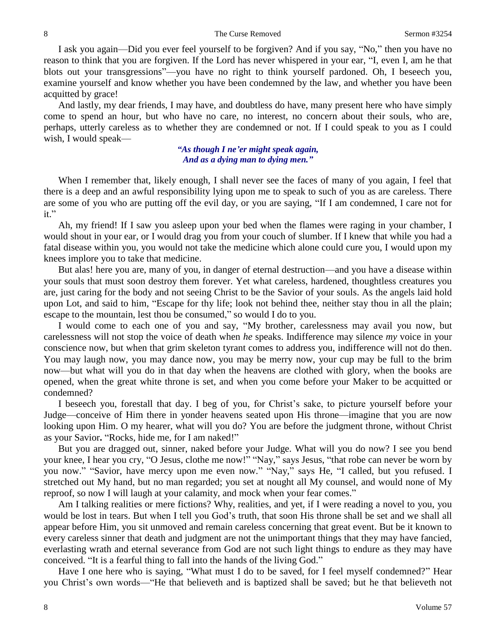I ask you again—Did you ever feel yourself to be forgiven? And if you say, "No," then you have no reason to think that you are forgiven. If the Lord has never whispered in your ear, "I, even I, am he that blots out your transgressions"—you have no right to think yourself pardoned. Oh, I beseech you, examine yourself and know whether you have been condemned by the law, and whether you have been acquitted by grace!

And lastly, my dear friends, I may have, and doubtless do have, many present here who have simply come to spend an hour, but who have no care, no interest, no concern about their souls, who are, perhaps, utterly careless as to whether they are condemned or not. If I could speak to you as I could wish, I would speak—

### *"As though I ne'er might speak again, And as a dying man to dying men."*

When I remember that, likely enough, I shall never see the faces of many of you again, I feel that there is a deep and an awful responsibility lying upon me to speak to such of you as are careless. There are some of you who are putting off the evil day, or you are saying, "If I am condemned, I care not for it."

Ah, my friend! If I saw you asleep upon your bed when the flames were raging in your chamber, I would shout in your ear, or I would drag you from your couch of slumber. If I knew that while you had a fatal disease within you, you would not take the medicine which alone could cure you, I would upon my knees implore you to take that medicine.

But alas! here you are, many of you, in danger of eternal destruction—and you have a disease within your souls that must soon destroy them forever. Yet what careless, hardened, thoughtless creatures you are, just caring for the body and not seeing Christ to be the Savior of your souls. As the angels laid hold upon Lot, and said to him, "Escape for thy life; look not behind thee, neither stay thou in all the plain; escape to the mountain, lest thou be consumed," so would I do to you.

I would come to each one of you and say, "My brother, carelessness may avail you now, but carelessness will not stop the voice of death when *he* speaks. Indifference may silence *my* voice in your conscience now, but when that grim skeleton tyrant comes to address you, indifference will not do then. You may laugh now, you may dance now, you may be merry now, your cup may be full to the brim now—but what will you do in that day when the heavens are clothed with glory, when the books are opened, when the great white throne is set, and when you come before your Maker to be acquitted or condemned?

I beseech you, forestall that day. I beg of you, for Christ's sake, to picture yourself before your Judge—conceive of Him there in yonder heavens seated upon His throne—imagine that you are now looking upon Him. O my hearer, what will you do? You are before the judgment throne, without Christ as your Savior**.** "Rocks, hide me, for I am naked!"

But you are dragged out, sinner, naked before your Judge. What will you do now? I see you bend your knee, I hear you cry, "O Jesus, clothe me now!" "Nay," says Jesus, "that robe can never be worn by you now." "Savior, have mercy upon me even now." "Nay," says He, "I called, but you refused. I stretched out My hand, but no man regarded; you set at nought all My counsel, and would none of My reproof, so now I will laugh at your calamity, and mock when your fear comes."

Am I talking realities or mere fictions? Why, realities, and yet, if I were reading a novel to you, you would be lost in tears. But when I tell you God's truth, that soon His throne shall be set and we shall all appear before Him, you sit unmoved and remain careless concerning that great event. But be it known to every careless sinner that death and judgment are not the unimportant things that they may have fancied, everlasting wrath and eternal severance from God are not such light things to endure as they may have conceived. "It is a fearful thing to fall into the hands of the living God."

Have I one here who is saying, "What must I do to be saved, for I feel myself condemned?" Hear you Christ's own words—"He that believeth and is baptized shall be saved; but he that believeth not